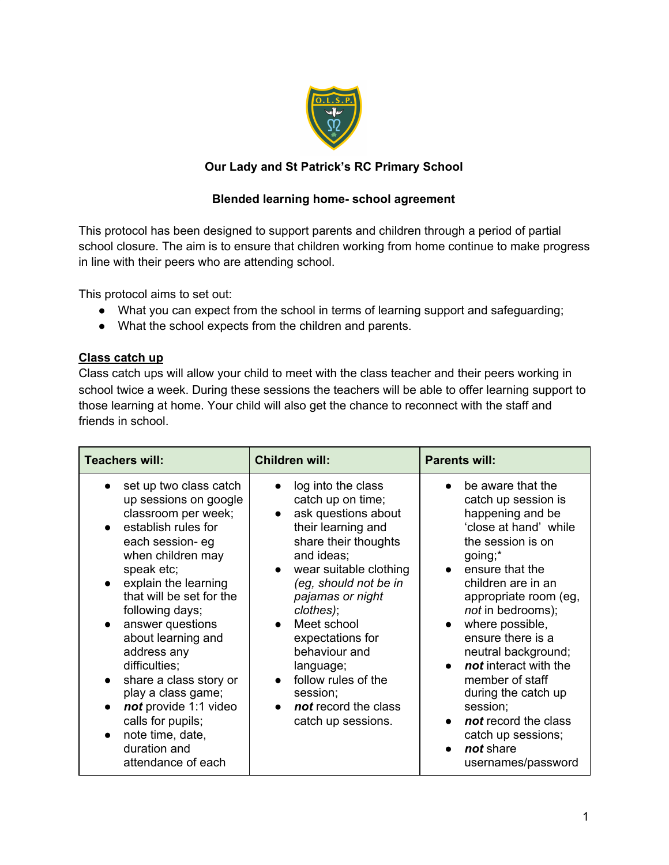

### **Our Lady and St Patrick's RC Primary School**

### **Blended learning home- school agreement**

This protocol has been designed to support parents and children through a period of partial school closure. The aim is to ensure that children working from home continue to make progress in line with their peers who are attending school.

This protocol aims to set out:

- What you can expect from the school in terms of learning support and safeguarding;
- What the school expects from the children and parents.

#### **Class catch up**

Class catch ups will allow your child to meet with the class teacher and their peers working in school twice a week. During these sessions the teachers will be able to offer learning support to those learning at home. Your child will also get the chance to reconnect with the staff and friends in school.

| <b>Teachers will:</b>                                                                                                                                                                                                                                                                                                                                                                                                                                         | <b>Children will:</b>                                                                                                                                                                                                                                                                                                                                            | <b>Parents will:</b>                                                                                                                                                                                                                                                                                                                                                                                                                          |
|---------------------------------------------------------------------------------------------------------------------------------------------------------------------------------------------------------------------------------------------------------------------------------------------------------------------------------------------------------------------------------------------------------------------------------------------------------------|------------------------------------------------------------------------------------------------------------------------------------------------------------------------------------------------------------------------------------------------------------------------------------------------------------------------------------------------------------------|-----------------------------------------------------------------------------------------------------------------------------------------------------------------------------------------------------------------------------------------------------------------------------------------------------------------------------------------------------------------------------------------------------------------------------------------------|
| set up two class catch<br>up sessions on google<br>classroom per week;<br>establish rules for<br>each session- eg<br>when children may<br>speak etc;<br>explain the learning<br>that will be set for the<br>following days;<br>answer questions<br>about learning and<br>address any<br>difficulties;<br>share a class story or<br>play a class game;<br>not provide 1:1 video<br>calls for pupils;<br>note time, date,<br>duration and<br>attendance of each | log into the class<br>catch up on time;<br>ask questions about<br>their learning and<br>share their thoughts<br>and ideas;<br>wear suitable clothing<br>(eg, should not be in<br>pajamas or night<br>clothes);<br>Meet school<br>expectations for<br>behaviour and<br>language;<br>follow rules of the<br>session;<br>not record the class<br>catch up sessions. | be aware that the<br>catch up session is<br>happening and be<br>'close at hand' while<br>the session is on<br>going;*<br>• ensure that the<br>children are in an<br>appropriate room (eg,<br>not in bedrooms);<br>where possible,<br>ensure there is a<br>neutral background;<br>not interact with the<br>member of staff<br>during the catch up<br>session;<br>not record the class<br>catch up sessions;<br>not share<br>usernames/password |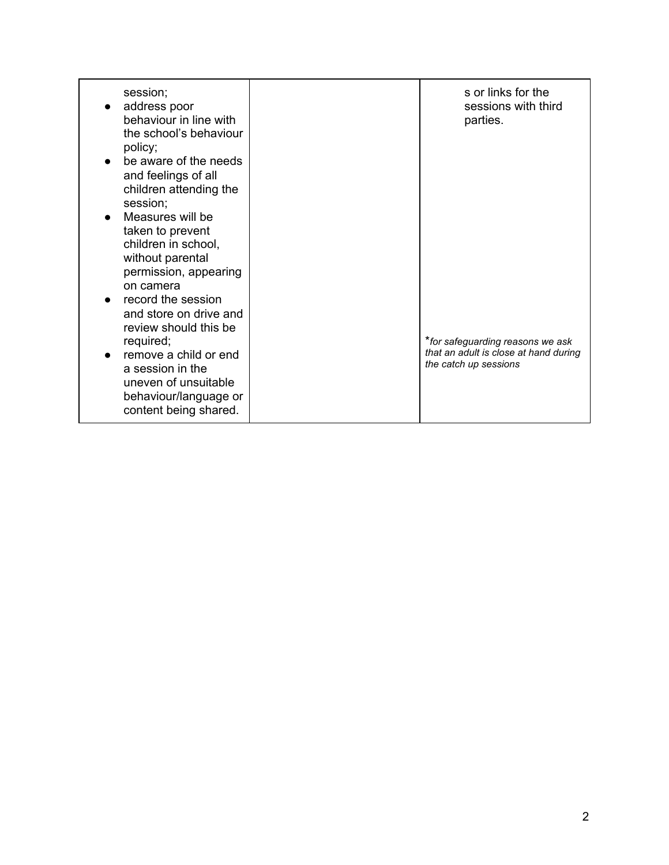| session;<br>address poor<br>behaviour in line with<br>the school's behaviour<br>policy;<br>be aware of the needs<br>and feelings of all<br>children attending the<br>session;<br>Measures will be<br>taken to prevent<br>children in school,<br>without parental<br>permission, appearing<br>on camera<br>record the session<br>and store on drive and<br>review should this be<br>required;<br>remove a child or end<br>a session in the<br>uneven of unsuitable | s or links for the<br>sessions with third<br>parties.<br>*for safeguarding reasons we ask<br>that an adult is close at hand during<br>the catch up sessions |
|-------------------------------------------------------------------------------------------------------------------------------------------------------------------------------------------------------------------------------------------------------------------------------------------------------------------------------------------------------------------------------------------------------------------------------------------------------------------|-------------------------------------------------------------------------------------------------------------------------------------------------------------|
| behaviour/language or<br>content being shared.                                                                                                                                                                                                                                                                                                                                                                                                                    |                                                                                                                                                             |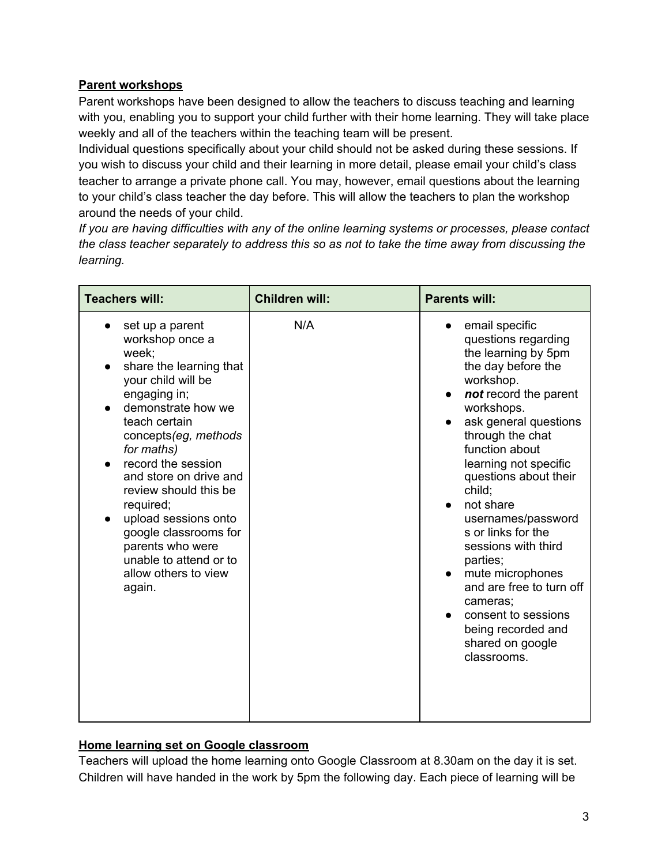## **Parent workshops**

Parent workshops have been designed to allow the teachers to discuss teaching and learning with you, enabling you to support your child further with their home learning. They will take place weekly and all of the teachers within the teaching team will be present.

Individual questions specifically about your child should not be asked during these sessions. If you wish to discuss your child and their learning in more detail, please email your child's class teacher to arrange a private phone call. You may, however, email questions about the learning to your child's class teacher the day before. This will allow the teachers to plan the workshop around the needs of your child.

*If you are having difficulties with any of the online learning systems or processes, please contact the class teacher separately to address this so as not to take the time away from discussing the learning.*

| <b>Teachers will:</b>                                                                                                                                                                                                                                                                                                                                                                                             | <b>Children will:</b> | <b>Parents will:</b>                                                                                                                                                                                                                                                                                                                                                                                                                                                                                                                                                                    |
|-------------------------------------------------------------------------------------------------------------------------------------------------------------------------------------------------------------------------------------------------------------------------------------------------------------------------------------------------------------------------------------------------------------------|-----------------------|-----------------------------------------------------------------------------------------------------------------------------------------------------------------------------------------------------------------------------------------------------------------------------------------------------------------------------------------------------------------------------------------------------------------------------------------------------------------------------------------------------------------------------------------------------------------------------------------|
| set up a parent<br>workshop once a<br>week:<br>share the learning that<br>your child will be<br>engaging in;<br>demonstrate how we<br>teach certain<br>concepts (eg, methods<br>for maths)<br>record the session<br>and store on drive and<br>review should this be<br>required;<br>upload sessions onto<br>google classrooms for<br>parents who were<br>unable to attend or to<br>allow others to view<br>again. | N/A                   | email specific<br>$\bullet$<br>questions regarding<br>the learning by 5pm<br>the day before the<br>workshop.<br>not record the parent<br>$\bullet$<br>workshops.<br>ask general questions<br>$\bullet$<br>through the chat<br>function about<br>learning not specific<br>questions about their<br>child;<br>not share<br>$\bullet$<br>usernames/password<br>s or links for the<br>sessions with third<br>parties;<br>mute microphones<br>$\bullet$<br>and are free to turn off<br>cameras;<br>consent to sessions<br>$\bullet$<br>being recorded and<br>shared on google<br>classrooms. |

### **Home learning set on Google classroom**

Teachers will upload the home learning onto Google Classroom at 8.30am on the day it is set. Children will have handed in the work by 5pm the following day. Each piece of learning will be